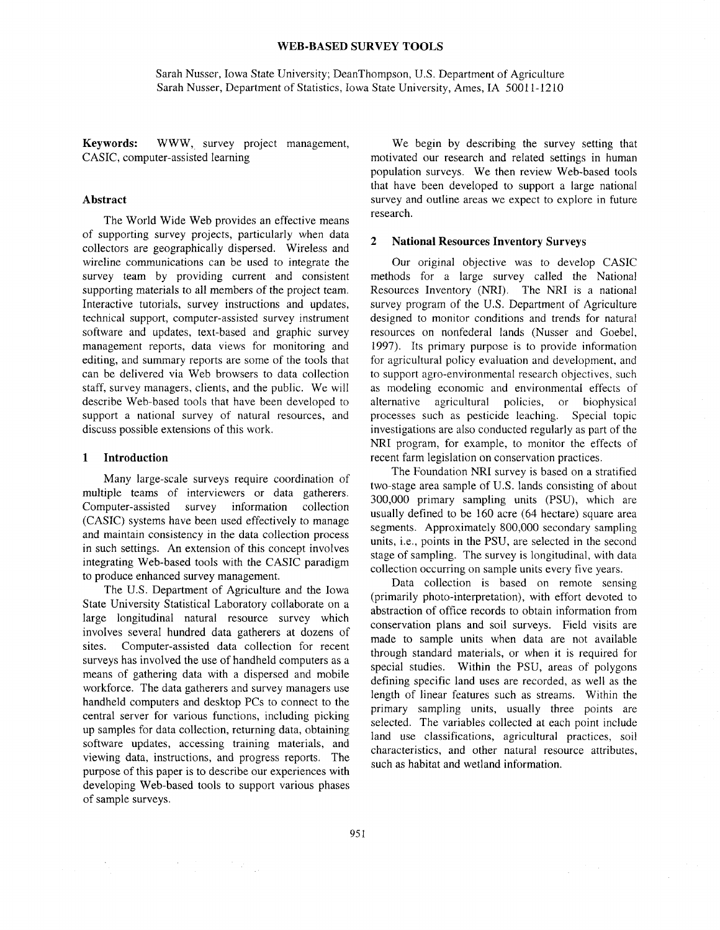### **WEB-BASED SURVEY TOOLS**

Sarah Nusser, Iowa State University; DeanThompson, U.S. Department of Agriculture Sarah Nusser, Department of Statistics, Iowa State University, Ames, IA 50011-1210

**Keywords:** WWW, survey project management, CASIC, computer-assisted learning

### **Abstract**

The World Wide Web provides an effective means of supporting survey projects, particularly when data collectors are geographically dispersed. Wireless and wireline communications can be used to integrate the survey team by providing current and consistent supporting materials to all members of the project team. Interactive tutorials, survey instructions and updates, technical support, computer-assisted survey instrument software and updates, text-based and graphic survey management reports, data views for monitoring and editing, and summary reports are some of the tools that can be delivered via Web browsers to data collection staff, survey managers, clients, and the public. We will describe Web-based tools that have been developed to support a national survey of natural resources, and discuss possible extensions of this work.

#### **1 Introduction**

Many large-scale surveys require coordination of multiple teams of interviewers or data gatherers. Computer-assisted survey information collection (CASIC) systems have been used effectively to manage and maintain consistency in the data collection process in such settings. An extension of this concept involves integrating Web-based tools with the CASIC paradigm to produce enhanced survey management.

The U.S. Department of Agriculture and the Iowa State University Statistical Laboratory collaborate on a large longitudinal natural resource survey which involves several hundred data gatherers at dozens of sites. Computer-assisted data collection for recent surveys has involved the use of handheld computers as a means of gathering data with a dispersed and mobile workforce. The data gatherers and survey managers use handheld computers and desktop PCs to connect to the central server for various functions, including picking up samples for data collection, returning data, obtaining software updates, accessing training materials, and viewing data, instructions, and progress reports. The purpose of this paper is to describe our experiences with developing Web-based tools to support various phases of sample surveys.

We begin by describing the survey setting that motivated our research and related settings in human population surveys. We then review Web-based tools that have been developed to support a large national survey and outline areas we expect to explore in future research.

## **2 National Resources Inventory Surveys**

Our original objective was to develop CASIC methods for a large survey called the National Resources Inventory (NRI). The NRI is a national survey program of the U.S. Department of Agriculture designed to monitor conditions and trends for natural resources on nonfederal lands (Nusser and Goebel, 1997). Its primary purpose is to provide information for agricultural policy evaluation and development, and to support agro-environmental research objectives, such as modeling economic and environmental effects of alternative agricultural policies, or biophysical processes such as pesticide leaching. Special topic investigations are also conducted regularly as part of the NRI program, for example, to monitor the effects of recent farm legislation on conservation practices.

The Foundation NRI survey is based on a stratified two-stage area sample of U.S. lands consisting of about 300,000 primary sampling units (PSU), which are usually defined to be 160 acre (64 hectare) square area segments. Approximately 800,000 secondary sampling units, i.e., points in the PSU, are selected in the second stage of sampling. The survey is longitudinal, with data collection occurring on sample units every five years.

Data collection is based on remote sensing (primarily photo-interpretation), with effort devoted to abstraction of office records to obtain information from conservation plans and soil surveys. Field visits are made to sample units when data are not available through standard materials, or when it is required for special studies. Within the PSU, areas of polygons defining specific land uses are recorded, as well as the length of linear features such as streams. Within the primary sampling units, usually three points are selected. The variables collected at each point include land use classifications, agricultural practices, soil characteristics, and other natural resource attributes, such as habitat and wetland information.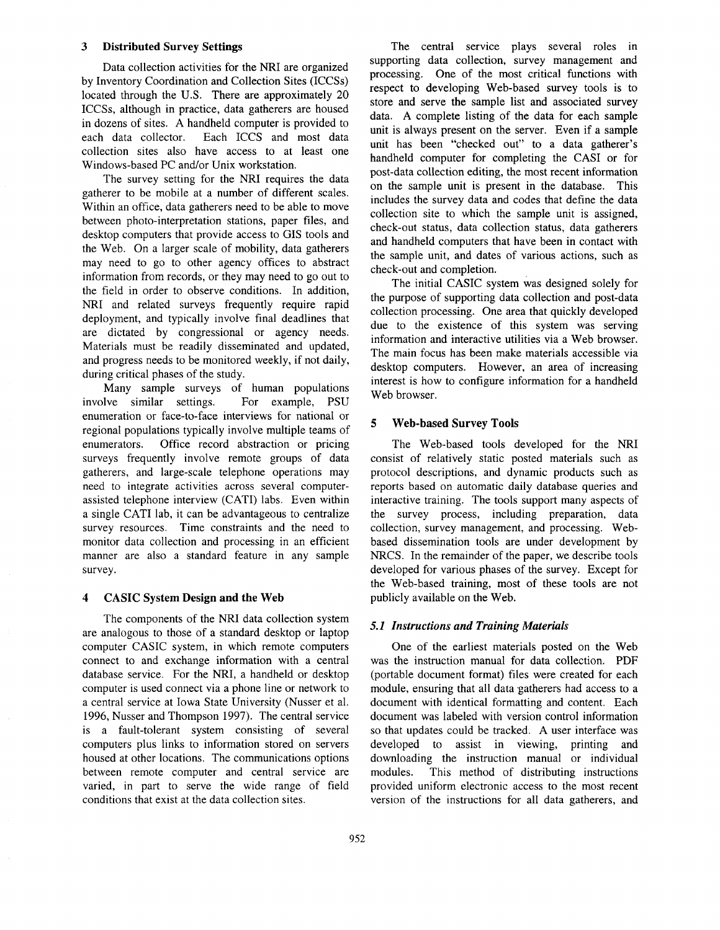# **3 Distributed Survey Settings**

Data collection activities for the NRI are organized by Inventory Coordination and Collection Sites (ICCSs) located through the U.S. There are approximately 20 ICCSs, although in practice, data gatherers are housed in dozens of sites. A handheld computer is provided to each data collector. Each ICCS and most data collection sites also have access to at least one Windows-based PC and/or Unix workstation.

The survey setting for the NRI requires the data gatherer to be mobile at a number of different scales. Within an office, data gatherers need to be able to move between photo-interpretation stations, paper files, and desktop computers that provide access to GIS tools and the Web. On a larger scale of mobility, data gatherers may need to go to other agency offices to abstract information from records, or they may need to go out to the field in order to observe conditions. In addition, NRI and related surveys frequently require rapid deployment, and typically involve final deadlines that are dictated by congressional or agency needs. Materials must be readily disseminated and updated, and progress needs to be monitored weekly, if not daily, during critical phases of the study.

Many sample surveys of human populations involve similar settings. For example, PSU enumeration or face-to-face interviews for national or regional populations typically involve multiple teams of enumerators. Office record abstraction or pricing surveys frequently involve remote groups of data gatherers, and large-scale telephone operations may need to integrate activities across several computerassisted telephone interview (CATI) labs. Even within a single CATI lab, it can be advantageous to centralize survey resources. Time constraints and the need to monitor data collection and processing in an efficient manner are also a standard feature in any sample survey.

# **4 CASIC System Design and the Web**

The components of the NRI data collection system are analogous to those of a standard desktop or laptop computer CASIC system, in which remote computers connect to and exchange information with a central database service. For the NRI, a handheld or desktop computer is used connect via a phone line or network to a central service at Iowa State University (Nusser et al. 1996, Nusser and Thompson 1997). The central service is a fault-tolerant system consisting of several computers plus links to information stored on servers housed at other locations. The communications options between remote computer and central service are varied, in part to serve the wide range of field conditions that exist at the data collection sites.

The central service plays several roles in supporting data collection, survey management **and**  processing. One of the most critical functions with respect to developing Web-based survey tools is to store and serve the sample list and associated survey data. A complete listing of the data for each sample unit is always present on the server. Even if a sample unit has been "checked out" to a data gatherer's handheld computer for completing the CASI or for post-data collection editing, the most recent information on the sample unit is present in the database. This includes the survey data and codes that define the data collection site to which the sample unit is assigned, check-out status, data collection status, data gatherers and handheld computers that have been in contact with the sample unit, and dates of various actions, such **as**  check-out and completion.

The initial CASIC system was designed solely for the purpose of supporting data collection and post-data collection processing. One area that quickly developed due to the existence of this system was serving information and interactive utilities via a Web browser. The main focus has been make materials accessible via desktop computers. However, an area of increasing interest is how to configure information for a handheld Web browser.

# **5 Web-based Survey Tools**

The Web-based tools developed for the NRI consist of relatively static posted materials such as protocol descriptions, and dynamic products such **as**  reports based on automatic daily database queries and interactive training. The tools support many aspects of the survey process, including preparation, data collection, survey management, and processing. Webbased dissemination tools are under development by NRCS. In the remainder of the paper, we describe tools developed for various phases of the survey. Except for the Web-based training, most of these tools are not publicly available on the Web.

# *5.1 Instructions and Training Materials*

One of the earliest materials posted on the Web was the instruction manual for data collection. PDF (portable document format) files were created for each module, ensuring that all data gatherers had access to a document with identical formatting and content. Each document was labeled with version control information so that updates could be tracked. A user interface was developed to assist in viewing, printing and downloading the instruction manual or individual modules. This method of distributing instructions provided uniform electronic access to the most recent version of the instructions for all data gatherers, and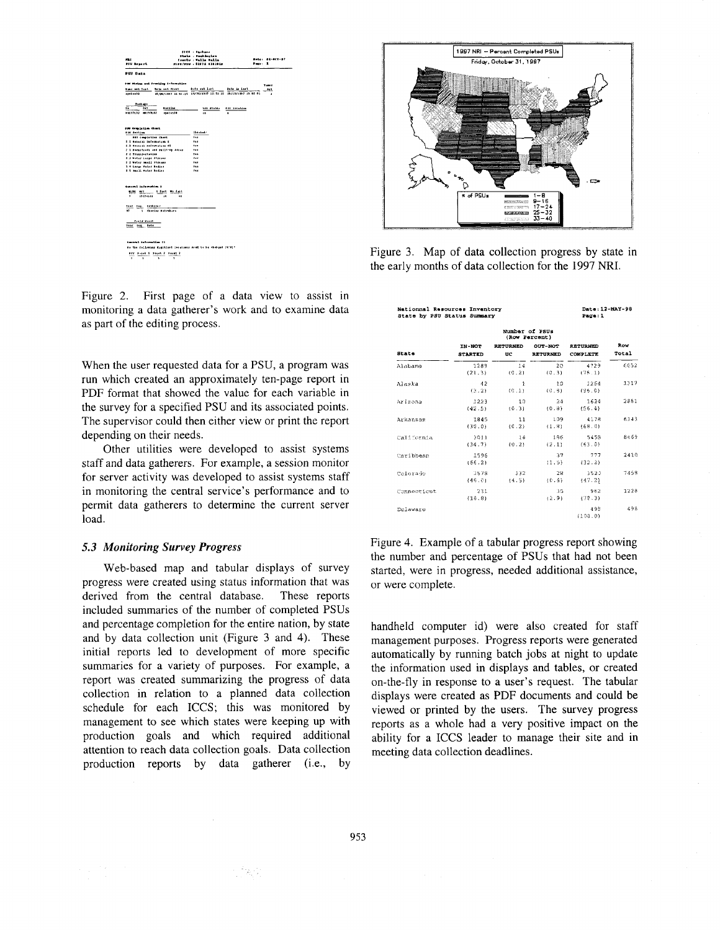

Figure 2. First page of a data view to assist in monitoring a data gatherer's work and to examine data as part of the editing process.

When the user requested data for a PSU, a program was run which created an approximately ten-page report in PDF format that showed the value for each variable in the survey for a specified PSU and its associated points. The supervisor could then either view or print the report depending on their needs.

Other utilities were developed to assist systems staff and data gatherers. For example, a session monitor for server activity was developed to assist systems staff in monitoring the central service's performance and to permit data gatherers to determine the current server load.

### 5.3 Monitoring Survey Progress

Web-based map and tabular displays of survey progress were created using status information that was derived from the central database. These reports included summaries of the number of completed PSUs and percentage completion for the entire nation, by state and by data collection unit (Figure 3 and 4). These initial reports led to development of more specific summaries for a variety of purposes. For example, a report was created summarizing the progress of data collection in relation to a planned data collection schedule for each ICCS; this was monitored by management to see which states were keeping up with production goals and which required additional attention to reach data collection goals. Data collection production reports by data gatherer (i.e., by

行出行



Figure 3. Map of data collection progress by state in the early months of data collection for the 1997 NRI.

| Nationnal Resources Inventory<br>State by PSU Status Summary |                                 |                       |                     | Date: 12-MAY-98<br>Pacc:1   |              |
|--------------------------------------------------------------|---------------------------------|-----------------------|---------------------|-----------------------------|--------------|
|                                                              | Number of PSUs<br>(Row Percent) |                       |                     |                             |              |
| <b>State</b>                                                 | IN-NOT<br><b>STARTED</b>        | <b>RETURNED</b><br>UC | OUT-NOT<br>RETURNED | <b>RETURNED</b><br>COMPLETE | Row<br>Total |
| Alabama                                                      | 1289<br>(21.3)                  | 14<br>(0.2)           | 20<br>(0.3)         | 4729<br>(78.1)              | 6052         |
| Alaska                                                       | 42<br>(3.2)                     | $\mathbf{1}$<br>(0.1) | 10<br>(0.8)         | 1254<br>(96.0)              | 1317         |
| Arizona                                                      | 1223<br>(42.5)                  | 10<br>(0.3)           | 24<br>(0.8)         | 1624<br>(56.4)              | 2881         |
| Arkansas                                                     | 1845<br>(30.0)                  | 11<br>(0.2)           | 109<br>(1.8)        | 4178<br>(68.0)              | 6143         |
| California                                                   | 3011<br>(34.7)                  | 1.4<br>${10.21}$      | 186<br>(2.1)        | 5458<br>(63.0)              | 8669         |
| Caribbean                                                    | 1596<br>(56.2)                  |                       | 37<br>(1.5)         | -777<br>(32.2)              | 2410         |
| Colorado                                                     | 3578<br>(46, 0)                 | -332<br>(4.5)         | 28<br>(0.6)         | 3520<br>(47.2)              | 7458         |
| Connecticut                                                  | 231<br>(18.8)                   |                       | 35<br>(2.9)         | 962<br>(72.3)               | 1228         |
| Delaware                                                     |                                 |                       |                     | 495<br>(100.0)              | 498          |

Figure 4. Example of a tabular progress report showing the number and percentage of PSUs that had not been started, were in progress, needed additional assistance, or were complete.

handheld computer id) were also created for staff management purposes. Progress reports were generated automatically by running batch jobs at night to update the information used in displays and tables, or created on-the-fly in response to a user's request. The tabular displays were created as PDF documents and could be viewed or printed by the users. The survey progress reports as a whole had a very positive impact on the ability for a ICCS leader to manage their site and in meeting data collection deadlines.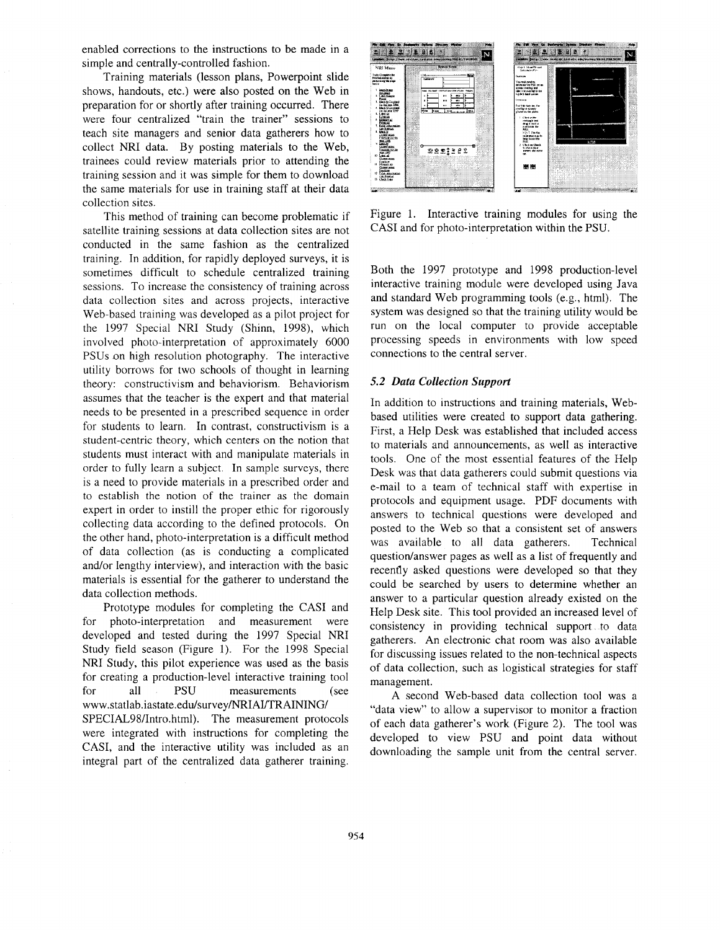enabled corrections to the instructions to be made in a simple and centrally-controlled fashion.

Training materials (lesson plans, Powerpoint slide shows, handouts, etc.) were also posted on the Web in preparation for or shortly after training occurred. There were four centralized "train the trainer" sessions to teach site managers and senior data gatherers how to collect NRI data. By posting materials to the Web, trainees could review materials prior to attending the training session and it was simple for them to download the same materials for use in training staff at their data collection sites.

This method of training can become problematic if satellite training sessions at data collection sites are not conducted in the same fashion as the centralized training. In addition, for rapidly deployed surveys, it is sometimes difficult to schedule centralized training sessions. To increase the consistency of training across data collection sites and across projects, interactive Web-based training was developed as a pilot project for the 1997 Special NRI Study (Shinn, 1998), which involved photo-interpretation of approximately 6000 PSUs on high resolution photography. The interactive utility borrows for two schools of thought in learning theory: constructivism and behaviorism. Behaviorism assumes that the teacher is the expert and that material needs to be presented in a prescribed sequence in order for students to learn. In contrast, constructivism is a student-centric theory, which centers on the notion that students must interact with and manipulate materials in order to fully learn a subject. In sample surveys, there is a need to provide materials in a prescribed order and to establish the notion of the trainer as the domain expert in order to instill the proper ethic for rigorously collecting data according to the defined protocols. On the other hand, photo-interpretation is a difficult method of data collection (as is conducting a complicated and/or lengthy interview), and interaction with the basic materials is essential for the gatherer to understand the data collection methods.

Prototype modules for completing the CASI and for photo-interpretation and measurement were developed and tested during the 1997 Special NRI Study field season (Figure 1). For the 1998 Special NRI Study, this pilot experience was used as the basis for creating a production-level interactive training tool for all PSU measurements (see www.statlab.iastate.edu/survey/NRIAI/TRAINING/ SPECIAL98/Intro.html). The measurement protocols were integrated with instructions for completing the CASI, and the interactive utility was included as an integral part of the centralized data gatherer training.



Figure 1. Interactive training modules for using the CASI and for photo-interpretation within the PSU.

Both the 1997 prototype and 1998 production-level interactive training module were developed using Java and standard Web programming tools (e.g., html). The system was designed so that the training utility would be run on the local computer to provide acceptable processing speeds in environments with low speed connections to the central server.

# *5.2 Data Collection Support*

In addition to instructions and training materials, Webbased utilities were created to support data gathering. First, a Help Desk was established that included access to materials and announcements, as well as interactive tools. One of the most essential features of the Help Desk was that data gatherers could submit questions via e-mail to a team of technical staff with expertise in protocols and equipment usage. PDF documents with answers to technical questions were developed and posted to the Web so that a consistent set of answers was available to all data gatherers. Technical question/answer pages as well as a list of frequently and recently asked questions were developed so that they could be searched by users to determine whether an answer to a particular question already existed on the Help Desk site. This tool provided an increased level of consistency in providing technical support to data gatherers. An electronic chat room was also available for discussing issues related to the non-technical aspects of data collection, such as logistical strategies for staff management.

A second Web-based data collection tool was a "data view" to allow a supervisor to monitor a fraction of each data gatherer's work (Figure 2). The tool was developed to view PSU and point data without downloading the sample unit from the central server.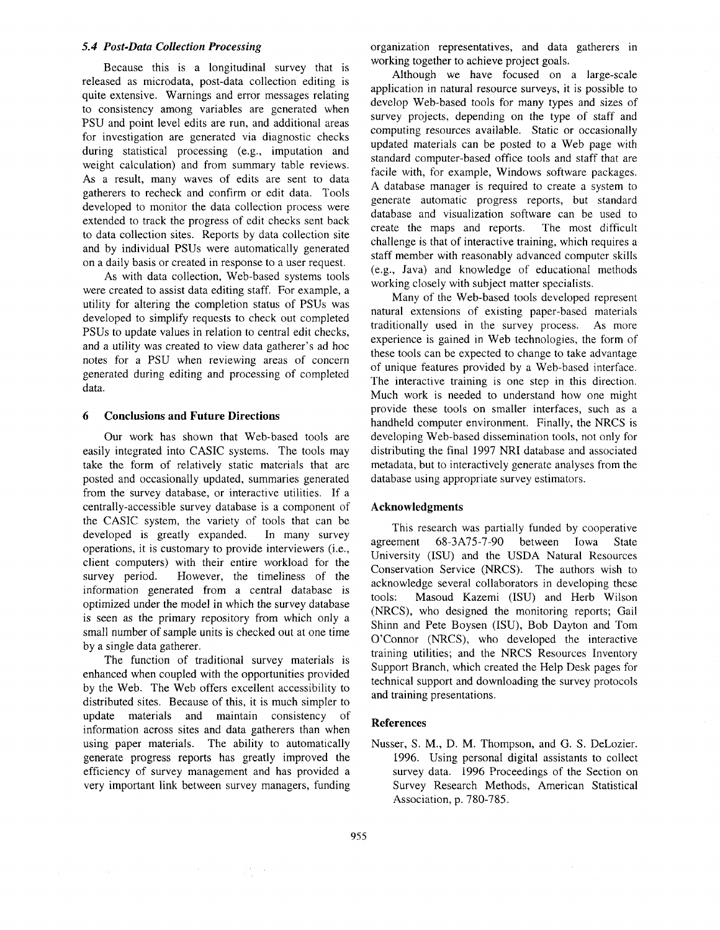### *5.4 Post-Data Collection Processing*

Because this is a longitudinal survey that is released as microdata, post-data collection editing is quite extensive. Warnings and error messages relating to consistency among variables are generated when PSU and point level edits are run, and additional areas for investigation are generated via diagnostic checks during statistical processing (e.g., imputation and weight calculation) and from summary table reviews. As a result, many waves of edits are sent to data gatherers to recheck and confirm or edit data. Tools developed to monitor the data collection process were extended to track the progress of edit checks sent back to data collection sites. Reports by data collection site and by individual PSUs were automatically generated on a daily basis or created in response to a user request.

As with data collection, Web-based systems tools were created to assist data editing staff. For example, a utility for altering the completion status of PSUs was developed to simplify requests to check out completed PSUs to update values in relation to central edit checks, and a utility was created to view data gatherer's ad hoc notes for a PSU when reviewing areas of concern generated during editing and processing of completed data.

# **6 Conclusions and Future Directions**

Our work has shown that Web-based tools are easily integrated into CASIC systems. The tools may take the form of relatively static materials that are posted and occasionally updated, summaries generated from the survey database, or interactive utilities. If a centrally-accessible survey database is a component of the CASIC system, the variety of tools that can be developed is greatly expanded. In many survey operations, it is customary to provide interviewers (i.e., client computers) with their entire workload for the survey period. However, the timeliness of the information generated from a central database is optimized under the model in which the survey database is seen as the primary repository from which only a small number of sample units is checked out at one time by a single data gatherer.

The function of traditional survey materials is enhanced when coupled with the opportunities provided by the Web. The Web offers excellent accessibility to distributed sites. Because of this, it is much simpler to update materials and maintain consistency of information across sites and data gatherers than when using paper materials. The ability to automatically generate progress reports has greatly improved the efficiency of survey management and has provided a very important link between survey managers, funding organization representatives, and data gatherers in working together to achieve project goals.

Although we have focused on a large-scale application in natural resource surveys, it is possible to develop Web-based tools for many types and sizes of survey projects, depending on the type of staff and computing resources available. Static or occasionally updated materials can be posted to a Web page with standard computer-based office tools and staff that are facile with, for example, Windows software packages. A database manager is required to create a system to generate automatic progress reports, but standard database and visualization software can be used to create the maps and reports. The most difficult challenge is that of interactive training, which requires a staff member with reasonably advanced computer skills (e.g., Java) and knowledge of educational methods working closely with subject matter specialists.

Many of the Web-based tools developed represent natural extensions of existing paper-based materials traditionally used in the survey process. As more experience is gained in Web technologies, the form of these tools can be expected to change to take advantage of unique features provided by a Web-based interface. The interactive training is one step in this direction. Much work is needed to understand how one might provide these tools on smaller interfaces, such as a handheld computer environment. Finally, the NRCS is developing Web-based dissemination tools, not only for distributing the final 1997 NRI database and associated metadata, but to interactively generate analyses from the database using appropriate survey estimators.

## **Acknowledgments**

This research was partially funded by cooperative agreement 68-3A75-7-90 between Iowa State University (ISU) and the USDA Natural Resources Conservation Service (NRCS). The authors wish to acknowledge several collaborators in developing these tools: Masoud Kazemi (ISU) and Herb Wilson (NRCS), who designed the monitoring reports; Gail Shinn and Pete Boysen (ISU), Bob Dayton and Tom O'Connor (NRCS), who developed the interactive training utilities; and the NRCS Resources Inventory Support Branch, which created the Help Desk pages for technical support and downloading the survey protocols and training presentations.

## **References**

Nusser, S. M., D. M. Thompson, and G. S. DeLozier. 1996. Using personal digital assistants to collect survey data. 1996 Proceedings of the Section on Survey Research Methods, American Statistical Association, p. 780-785.